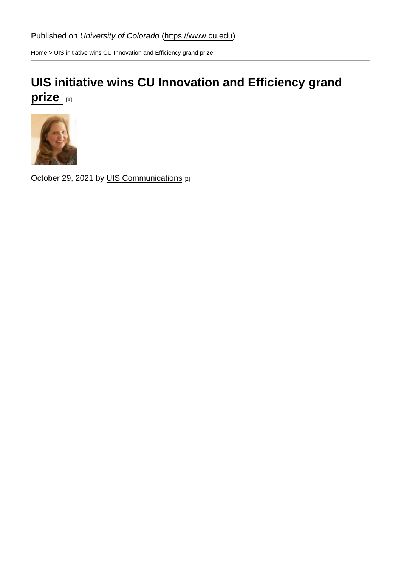[Home](https://www.cu.edu/) > UIS initiative wins CU Innovation and Efficiency grand prize

## [UIS initiative wins CU Innovation and Efficiency grand](https://www.cu.edu/blog/uis-news/uis-initiative-wins-cu-innovation-and-efficiency-grand-prize)  [prize](https://www.cu.edu/blog/uis-news/uis-initiative-wins-cu-innovation-and-efficiency-grand-prize) [1]

October 29, 2021 by [UIS Communications](https://www.cu.edu/blog/uis-news/author/65709) [2]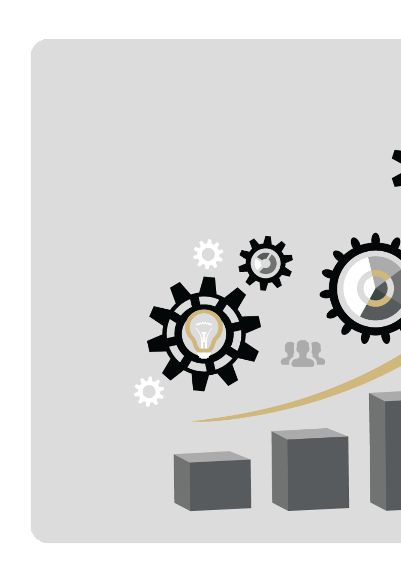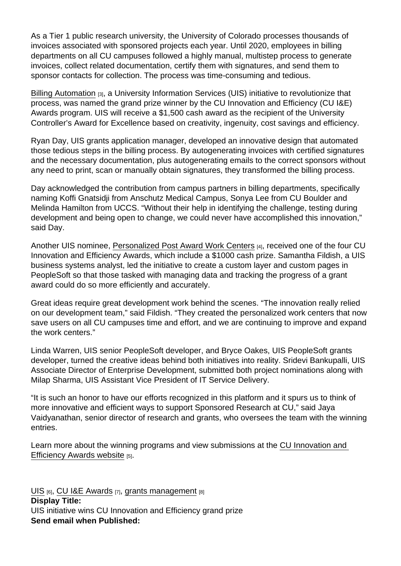As a Tier 1 public research university, the University of Colorado processes thousands of invoices associated with sponsored projects each year. Until 2020, employees in billing departments on all CU campuses followed a highly manual, multistep process to generate invoices, collect related documentation, certify them with signatures, and send them to sponsor contacts for collection. The process was time-consuming and tedious.

[Billing Automation](https://www.cu.edu/controller/i-e-awards/cu-innovation-efficiency-awards-current-submissions/cu-ie-submission-billing) [3], a University Information Services (UIS) initiative to revolutionize that process, was named the grand prize winner by the CU Innovation and Efficiency (CU I&E) Awards program. UIS will receive a \$1,500 cash award as the recipient of the University Controller's Award for Excellence based on creativity, ingenuity, cost savings and efficiency.

Ryan Day, UIS grants application manager, developed an innovative design that automated those tedious steps in the billing process. By autogenerating invoices with certified signatures and the necessary documentation, plus autogenerating emails to the correct sponsors without any need to print, scan or manually obtain signatures, they transformed the billing process.

Day acknowledged the contribution from campus partners in billing departments, specifically naming Koffi Gnatsidji from Anschutz Medical Campus, Sonya Lee from CU Boulder and Melinda Hamilton from UCCS. "Without their help in identifying the challenge, testing during development and being open to change, we could never have accomplished this innovation," said Day.

Another UIS nominee, [Personalized Post Award Work Centers](https://www.cu.edu/controller/i-e-awards/cu-innovation-efficiency-awards-current-submissions/cu-ie-submission-Personalized Post Award Work Centers) [4], received one of the four CU Innovation and Efficiency Awards, which include a \$1000 cash prize. Samantha Fildish, a UIS business systems analyst, led the initiative to create a custom layer and custom pages in PeopleSoft so that those tasked with managing data and tracking the progress of a grant award could do so more efficiently and accurately.

Great ideas require great development work behind the scenes. "The innovation really relied on our development team," said Fildish. "They created the personalized work centers that now save users on all CU campuses time and effort, and we are continuing to improve and expand the work centers."

Linda Warren, UIS senior PeopleSoft developer, and Bryce Oakes, UIS PeopleSoft grants developer, turned the creative ideas behind both initiatives into reality. Sridevi Bankupalli, UIS Associate Director of Enterprise Development, submitted both project nominations along with Milap Sharma, UIS Assistant Vice President of IT Service Delivery.

"It is such an honor to have our efforts recognized in this platform and it spurs us to think of more innovative and efficient ways to support Sponsored Research at CU," said Jaya Vaidyanathan, senior director of research and grants, who oversees the team with the winning entries.

Learn more about the winning programs and view submissions at the [CU Innovation and](https://www.cu.edu/controller/innovation-efficiency-awards)  [Efficiency Awards website](https://www.cu.edu/controller/innovation-efficiency-awards) [5].

[UIS](https://www.cu.edu/blog/uis-news/tag/uis) [6], [CU I&E Awards](https://www.cu.edu/blog/uis-news/tag/cu-i&e-awards) [7], [grants management](https://www.cu.edu/blog/uis-news/tag/grants-management) [8] Display Title: UIS initiative wins CU Innovation and Efficiency grand prize Send email when Published: